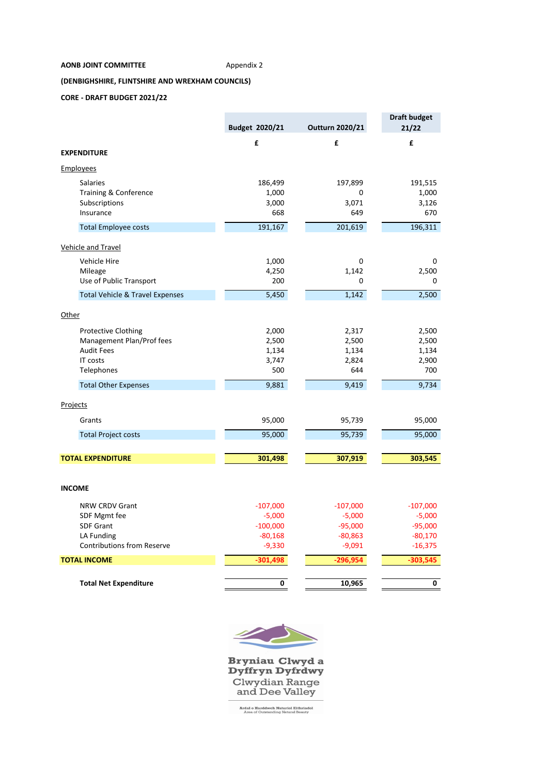### **AONB JOINT COMMITTEE** Appendix 2

## **(DENBIGHSHIRE, FLINTSHIRE AND WREXHAM COUNCILS)**

## **CORE - DRAFT BUDGET 2021/22**

|                                            | Budget 2020/21 | Outturn 2020/21 | <b>Draft budget</b><br>21/22 |
|--------------------------------------------|----------------|-----------------|------------------------------|
|                                            | £              | £               | £                            |
| <b>EXPENDITURE</b>                         |                |                 |                              |
| <b>Employees</b>                           |                |                 |                              |
| <b>Salaries</b>                            | 186,499        | 197,899         | 191,515                      |
| Training & Conference                      | 1,000          | 0               | 1,000                        |
| Subscriptions                              | 3,000          | 3,071           | 3,126                        |
| Insurance                                  | 668            | 649             | 670                          |
| <b>Total Employee costs</b>                | 191,167        | 201,619         | 196,311                      |
| <b>Vehicle and Travel</b>                  |                |                 |                              |
| Vehicle Hire                               | 1,000          | 0               | 0                            |
| Mileage                                    | 4,250          | 1,142           | 2,500                        |
| Use of Public Transport                    | 200            | 0               | 0                            |
| <b>Total Vehicle &amp; Travel Expenses</b> | 5,450          | 1,142           | 2,500                        |
| Other                                      |                |                 |                              |
| <b>Protective Clothing</b>                 | 2,000          | 2,317           | 2,500                        |
| Management Plan/Prof fees                  | 2,500          | 2,500           | 2,500                        |
| <b>Audit Fees</b>                          | 1,134          | 1,134           | 1,134                        |
| <b>IT costs</b>                            | 3,747          | 2,824           | 2,900                        |
| Telephones                                 | 500            | 644             | 700                          |
| <b>Total Other Expenses</b>                | 9,881          | 9,419           | 9,734                        |
| Projects                                   |                |                 |                              |
| Grants                                     | 95,000         | 95,739          | 95,000                       |
| <b>Total Project costs</b>                 | 95,000         | 95,739          | 95,000                       |
| <b>TOTAL EXPENDITURE</b>                   |                | 307,919         |                              |
|                                            | 301,498        |                 | 303,545                      |
| <b>INCOME</b>                              |                |                 |                              |
| NRW CRDV Grant                             | $-107,000$     | $-107,000$      | $-107,000$                   |
| SDF Mgmt fee                               | $-5,000$       | $-5,000$        | $-5,000$                     |
| <b>SDF Grant</b>                           | $-100,000$     | $-95,000$       | $-95,000$                    |
| LA Funding                                 | $-80,168$      | $-80,863$       | $-80,170$                    |
| <b>Contributions from Reserve</b>          | $-9,330$       | $-9,091$        | $-16,375$                    |
| <b>TOTAL INCOME</b>                        | $-301,498$     | $-296,954$      | $-303,545$                   |
|                                            |                |                 |                              |
| <b>Total Net Expenditure</b>               | 0              | 10,965          | 0                            |



Bryniau Clwyd a<br>Dyffryn Dyfrdwy Clwydian Range<br>and Dee Valley

**Ardal o Harddwch Naturiol Eithriadol**<br>Area of Outstanding Natural Beauty